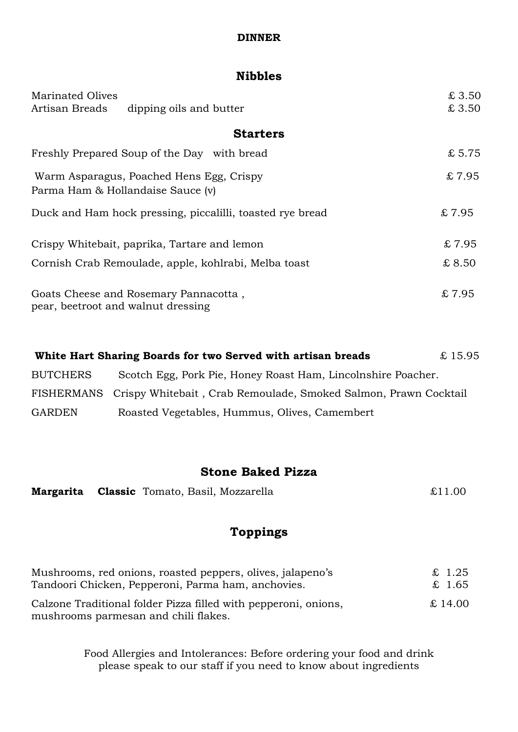#### **DINNER**

## **Nibbles**

| <b>Marinated Olives</b>                              |                                                           | £3.50  |
|------------------------------------------------------|-----------------------------------------------------------|--------|
| Artisan Breads                                       | dipping oils and butter                                   | £3.50  |
|                                                      | <b>Starters</b>                                           |        |
|                                                      | Freshly Prepared Soup of the Day with bread               | £5.75  |
| Parma Ham & Hollandaise Sauce (v)                    | Warm Asparagus, Poached Hens Egg, Crispy                  | \$7.95 |
|                                                      | Duck and Ham hock pressing, piccalilli, toasted rye bread | £7.95  |
| Crispy Whitebait, paprika, Tartare and lemon         |                                                           | \$7.95 |
| Cornish Crab Remoulade, apple, kohlrabi, Melba toast |                                                           | \$8.50 |
| pear, beetroot and walnut dressing                   | Goats Cheese and Rosemary Pannacotta,                     | £7.95  |

|                 | White Hart Sharing Boards for two Served with artisan breads               | £15.95 |
|-----------------|----------------------------------------------------------------------------|--------|
| <b>BUTCHERS</b> | Scotch Egg, Pork Pie, Honey Roast Ham, Lincolnshire Poacher.               |        |
|                 | FISHERMANS Crispy Whitebait, Crab Remoulade, Smoked Salmon, Prawn Cocktail |        |
| <b>GARDEN</b>   | Roasted Vegetables, Hummus, Olives, Camembert                              |        |

## **Stone Baked Pizza**

|  |  | Margarita Classic Tomato, Basil, Mozzarella | £11.00 |
|--|--|---------------------------------------------|--------|
|--|--|---------------------------------------------|--------|

# **Toppings**

| Mushrooms, red onions, roasted peppers, olives, jalapeno's                                              | £ 1.25  |
|---------------------------------------------------------------------------------------------------------|---------|
| Tandoori Chicken, Pepperoni, Parma ham, anchovies.                                                      | £ 1.65  |
| Calzone Traditional folder Pizza filled with pepperoni, onions,<br>mushrooms parmesan and chili flakes. | £ 14.00 |

Food Allergies and Intolerances: Before ordering your food and drink please speak to our staff if you need to know about ingredients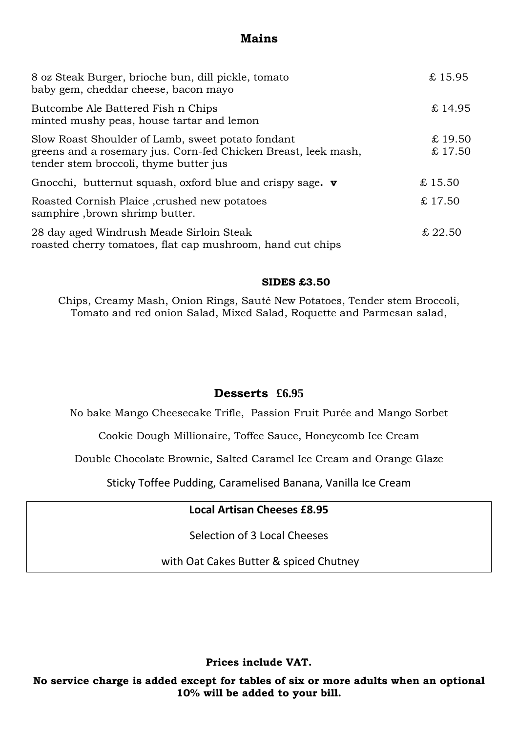## **Mains**

| 8 oz Steak Burger, brioche bun, dill pickle, tomato<br>baby gem, cheddar cheese, bacon mayo                                                                   | £15.95           |
|---------------------------------------------------------------------------------------------------------------------------------------------------------------|------------------|
| Butcombe Ale Battered Fish n Chips<br>minted mushy peas, house tartar and lemon                                                                               | £14.95           |
| Slow Roast Shoulder of Lamb, sweet potato fondant<br>greens and a rosemary jus. Corn-fed Chicken Breast, leek mash,<br>tender stem broccoli, thyme butter jus | £19.50<br>£17.50 |
| Gnocchi, butternut squash, oxford blue and crispy sage. $\mathbf v$                                                                                           | £15.50           |
| Roasted Cornish Plaice, crushed new potatoes<br>samphire, brown shrimp butter.                                                                                | \$17.50          |
| 28 day aged Windrush Meade Sirloin Steak<br>roasted cherry tomatoes, flat cap mushroom, hand cut chips                                                        | £ 22.50          |

#### **SIDES £3.50**

Chips, Creamy Mash, Onion Rings, Sauté New Potatoes, Tender stem Broccoli, Tomato and red onion Salad, Mixed Salad, Roquette and Parmesan salad,

### **Desserts £6.95**

No bake Mango Cheesecake Trifle, Passion Fruit Purée and Mango Sorbet

Cookie Dough Millionaire, Toffee Sauce, Honeycomb Ice Cream

Double Chocolate Brownie, Salted Caramel Ice Cream and Orange Glaze

Sticky Toffee Pudding, Caramelised Banana, Vanilla Ice Cream

### **Local Artisan Cheeses £8.95**

Selection of 3 Local Cheeses

with Oat Cakes Butter & spiced Chutney

**Prices include VAT.**

**No service charge is added except for tables of six or more adults when an optional 10% will be added to your bill.**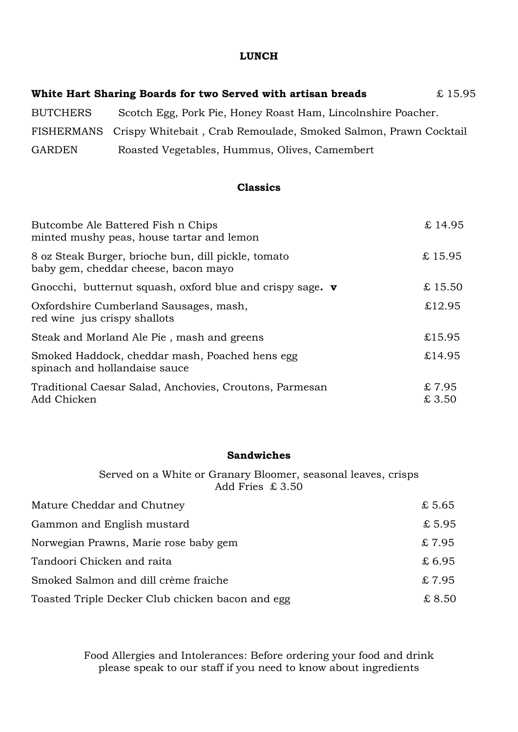#### **LUNCH**

| White Hart Sharing Boards for two Served with artisan breads |                                                                            | £15.95 |
|--------------------------------------------------------------|----------------------------------------------------------------------------|--------|
| <b>BUTCHERS</b>                                              | Scotch Egg, Pork Pie, Honey Roast Ham, Lincolnshire Poacher.               |        |
|                                                              | FISHERMANS Crispy Whitebait, Crab Remoulade, Smoked Salmon, Prawn Cocktail |        |
| <b>GARDEN</b>                                                | Roasted Vegetables, Hummus, Olives, Camembert                              |        |

### **Classics**

| Butcombe Ale Battered Fish n Chips<br>minted mushy peas, house tartar and lemon             | £14.95         |
|---------------------------------------------------------------------------------------------|----------------|
| 8 oz Steak Burger, brioche bun, dill pickle, tomato<br>baby gem, cheddar cheese, bacon mayo | £15.95         |
| Gnocchi, butternut squash, oxford blue and crispy sage. $\mathbf v$                         | £15.50         |
| Oxfordshire Cumberland Sausages, mash,<br>red wine jus crispy shallots                      | £12.95         |
| Steak and Morland Ale Pie, mash and greens                                                  | £15.95         |
| Smoked Haddock, cheddar mash, Poached hens egg<br>spinach and hollandaise sauce             | £14.95         |
| Traditional Caesar Salad, Anchovies, Croutons, Parmesan<br>Add Chicken                      | £7.95<br>£3.50 |

#### **Sandwiches**

Served on a White or Granary Bloomer, seasonal leaves, crisps Add Fries £ 3.50

| Mature Cheddar and Chutney                       | \$5.65 |
|--------------------------------------------------|--------|
| Gammon and English mustard                       | £5.95  |
| Norwegian Prawns, Marie rose baby gem            | \$7.95 |
| Tandoori Chicken and raita                       | £6.95  |
| Smoked Salmon and dill crème fraiche             | £7.95  |
| Toasted Triple Decker Club chicken bacon and egg | £ 8.50 |

Food Allergies and Intolerances: Before ordering your food and drink please speak to our staff if you need to know about ingredients